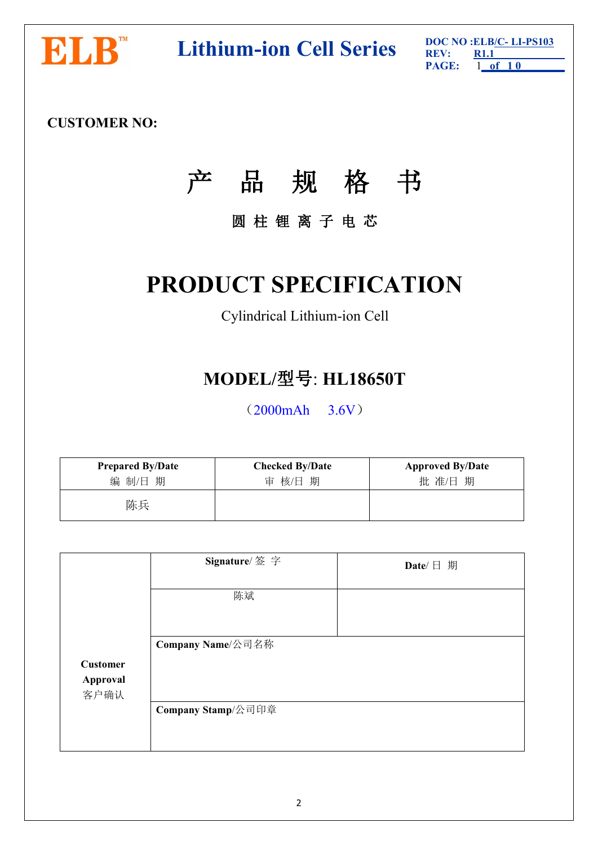

**DOC NO NOCO NOCO ELB/C-LI-PS103 DOC NO REV: REV: REV: RL1 RAGE: 1 of** 10

**PAGE:** 1 **of 1 0 R1.1**

# **CUSTOMER NO:**

# 产 品 规 格 书

# 圆 柱 锂 离 子 电 芯

# **PRODUCT SPECIFICATION**

# Cylindrical Lithium-ion Cell

# **MODEL/**型号: **HL18650T**

(2000mAh 3.6V)

| <b>Prepared By/Date</b> | <b>Checked By/Date</b> | <b>Approved By/Date</b> |
|-------------------------|------------------------|-------------------------|
| 编 制/日 期                 | 审 核/日 期                | 批准/日期                   |
| 陈兵                      |                        |                         |

|                  | Signature/ 签字      | Date/ $\Box$ 期 |  |
|------------------|--------------------|----------------|--|
|                  | 陈斌                 |                |  |
|                  | Company Name/公司名称  |                |  |
| <b>Customer</b>  |                    |                |  |
| Approval<br>客户确认 |                    |                |  |
|                  | Company Stamp/公司印章 |                |  |
|                  |                    |                |  |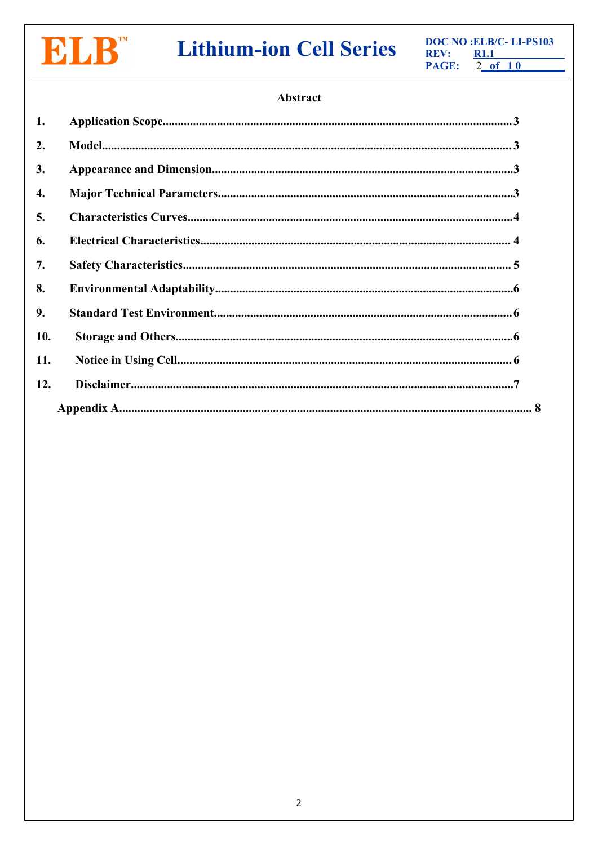

# **Lithium-ion Cell Series**

DOC NO : ELB/C-LI-PS103 REV:  $R1.1$ PAGE:  $2$  of 10

# Abstract

| 1.  |  |
|-----|--|
| 2.  |  |
| 3.  |  |
| 4.  |  |
| 5.  |  |
| 6.  |  |
| 7.  |  |
| 8.  |  |
| 9.  |  |
| 10. |  |
| 11. |  |
| 12. |  |
|     |  |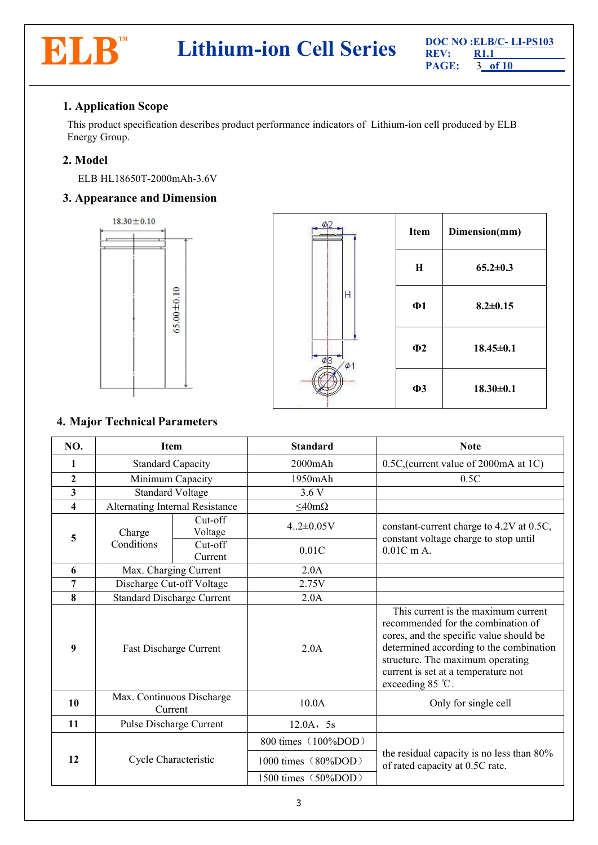

# <span id="page-2-0"></span>**1. Application Scope**

This product specification describes product performance indicators of Lithium-ion cell produced by ELB Energy Group.

# <span id="page-2-1"></span>**2. Model**

ELB HL18650T-2000mAh-3.6V

# <span id="page-2-2"></span>**3. Appearance and Dimension**



|          | Item        | Dimension(mm)   |
|----------|-------------|-----------------|
|          | $\mathbf H$ | $65.2 \pm 0.3$  |
| H        | $\Phi$ 1    | $8.2 \pm 0.15$  |
| $\phi$ 1 | $\Phi$ 2    | $18.45 \pm 0.1$ |
| z.       | $\Phi$ 3    | $18.30 \pm 0.1$ |

# <span id="page-2-3"></span>**4. Major Technical Parameters**

| NO.                     | <b>Item</b>                          |                    | <b>Standard</b>     | <b>Note</b>                                                                                                                                                                                                                                                             |  |
|-------------------------|--------------------------------------|--------------------|---------------------|-------------------------------------------------------------------------------------------------------------------------------------------------------------------------------------------------------------------------------------------------------------------------|--|
| $\mathbf{1}$            | <b>Standard Capacity</b>             |                    | $2000$ m $Ah$       | 0.5C, (current value of 2000mA at 1C)                                                                                                                                                                                                                                   |  |
| $\boldsymbol{2}$        | Minimum Capacity                     |                    | 1950mAh             | 0.5C                                                                                                                                                                                                                                                                    |  |
| $\mathbf{3}$            | <b>Standard Voltage</b>              |                    | 3.6V                |                                                                                                                                                                                                                                                                         |  |
| $\overline{\mathbf{4}}$ | Alternating Internal Resistance      |                    | $\leq$ 40m $\Omega$ |                                                                                                                                                                                                                                                                         |  |
| 5                       | Charge                               | Cut-off<br>Voltage | $4.2 \pm 0.05V$     | constant-current charge to 4.2V at 0.5C,<br>constant voltage charge to stop until                                                                                                                                                                                       |  |
|                         | Conditions                           | Cut-off<br>Current | 0.01C               | $0.01C$ m A.                                                                                                                                                                                                                                                            |  |
| 6                       | Max. Charging Current                |                    | 2.0A                |                                                                                                                                                                                                                                                                         |  |
| 7                       | Discharge Cut-off Voltage            |                    | 2.75V               |                                                                                                                                                                                                                                                                         |  |
| 8                       | <b>Standard Discharge Current</b>    |                    | 2.0A                |                                                                                                                                                                                                                                                                         |  |
| 9                       | Fast Discharge Current               |                    | 2.0A                | This current is the maximum current<br>recommended for the combination of<br>cores, and the specific value should be<br>determined according to the combination<br>structure. The maximum operating<br>current is set at a temperature not<br>exceeding $85^{\circ}$ C. |  |
| 10                      | Max. Continuous Discharge<br>Current |                    | 10.0A               | Only for single cell                                                                                                                                                                                                                                                    |  |
| 11                      | Pulse Discharge Current              |                    | 12.0A, 5s           |                                                                                                                                                                                                                                                                         |  |
|                         |                                      |                    | 800 times (100%DOD) |                                                                                                                                                                                                                                                                         |  |
| 12                      | Cycle Characteristic                 |                    | 1000 times (80%DOD) | the residual capacity is no less than 80%<br>of rated capacity at 0.5C rate.                                                                                                                                                                                            |  |
|                         |                                      |                    | 1500 times (50%DOD) |                                                                                                                                                                                                                                                                         |  |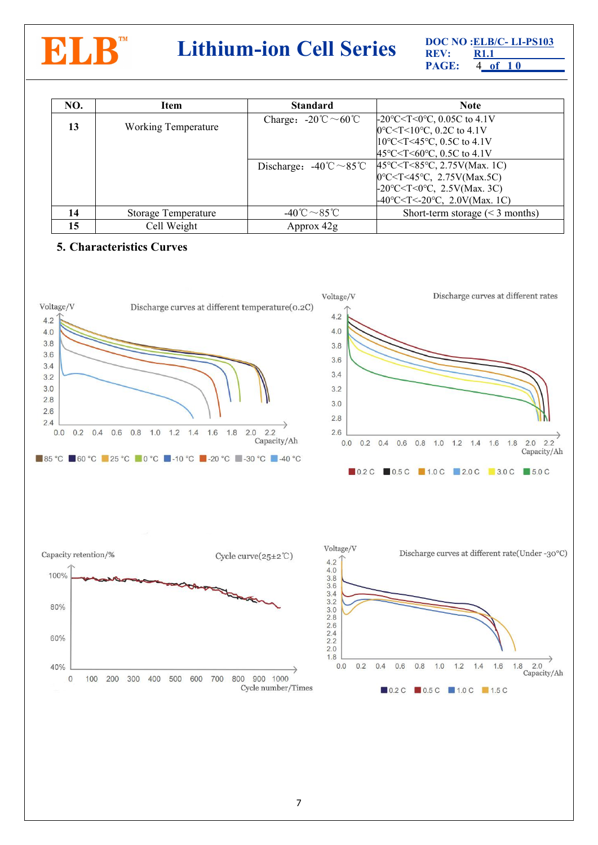

# **DOC NO CELB/C- LI-PS103**<br>**PAGE:**  $\frac{DOC}{RC}$  **RL1**<br>**PAGE:**  $\frac{R1.1}{4.96 \text{ } 10}$

**PAGE:** 4 **of 1 0 R1.1**

| NO. | Item                       | <b>Standard</b>                                          | <b>Note</b>                                                                                                                                                                                                                                                                                                                                         |
|-----|----------------------------|----------------------------------------------------------|-----------------------------------------------------------------------------------------------------------------------------------------------------------------------------------------------------------------------------------------------------------------------------------------------------------------------------------------------------|
| 13  | <b>Working Temperature</b> | Charge: $-20^{\circ}\text{C} \sim 60^{\circ}\text{C}$    | $-20^{\circ}$ C < T < 0 $^{\circ}$ C, 0.05C to 4.1V<br>$[0^{\circ}$ C <t 10<math="" <="">^{\circ}C, 0.2C to 4.1V<br/><math>10^{\circ}</math>C<t<45<math>^{\circ}C, 0.5C to 4.1V</t<45<math></t>                                                                                                                                                     |
|     |                            | Discharge: $-40^{\circ}\text{C} \sim 85^{\circ}\text{C}$ | 45°C <t<60°c, 0.5c="" 4.1v<br="" to=""><math>45^{\circ}</math>C &lt; T &lt; 85<math>^{\circ}</math>C, 2.75V(Max. 1C)<br/><math>[0^{\circ}C &lt; T &lt; 45^{\circ}C, 2.75V(Max.5C)]</math><br/><math>-20^{\circ}</math>C<t<0°c, 2.5v(max.="" 3c)<br=""><math>-40^{\circ}</math>C<t<-20<math>^{\circ}C, 2.0V(Max. 1C)</t<-20<math></t<0°c,></t<60°c,> |
| 14  | Storage Temperature        | -40 °C $\sim$ 85 °C                                      | Short-term storage $(< 3$ months)                                                                                                                                                                                                                                                                                                                   |
| 15  | Cell Weight                | Approx 42g                                               |                                                                                                                                                                                                                                                                                                                                                     |

## <span id="page-3-0"></span>**5. Characteristics Curves**

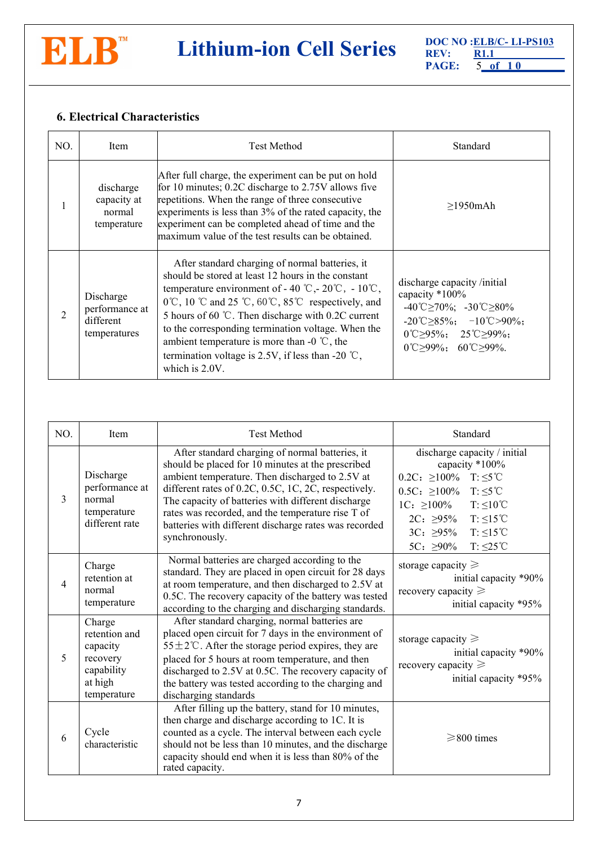

# **DOC NO CELB/C- LI-PS103**<br>**PAGE: ELB/C- RI.1**<br>**PAGE: S\_of** 10

**PAGE:** 5 **of 1 0 R1.1**

# <span id="page-4-0"></span>**6. Electrical Characteristics**

| NO. | Item                                                     | <b>Test Method</b>                                                                                                                                                                                                                                                                                                                                                                                                                                                                                                            | Standard                                                                                                                                                                                                                                                    |  |
|-----|----------------------------------------------------------|-------------------------------------------------------------------------------------------------------------------------------------------------------------------------------------------------------------------------------------------------------------------------------------------------------------------------------------------------------------------------------------------------------------------------------------------------------------------------------------------------------------------------------|-------------------------------------------------------------------------------------------------------------------------------------------------------------------------------------------------------------------------------------------------------------|--|
|     | discharge<br>capacity at<br>normal<br>temperature        | After full charge, the experiment can be put on hold<br>for 10 minutes; 0.2C discharge to 2.75V allows five<br>repetitions. When the range of three consecutive<br>experiments is less than 3% of the rated capacity, the<br>experiment can be completed ahead of time and the<br>maximum value of the test results can be obtained.                                                                                                                                                                                          | $>1950$ mAh                                                                                                                                                                                                                                                 |  |
|     | Discharge<br>performance at<br>different<br>temperatures | After standard charging of normal batteries, it<br>should be stored at least 12 hours in the constant<br>temperature environment of - 40 °C, - 20 °C, - 10 °C,<br>$0^{\circ}$ C, 10 $^{\circ}$ C and 25 $^{\circ}$ C, 60 $^{\circ}$ C, 85 $^{\circ}$ C respectively, and<br>5 hours of 60 °C. Then discharge with 0.2C current<br>to the corresponding termination voltage. When the<br>ambient temperature is more than -0 $^{\circ}$ C, the<br>termination voltage is 2.5V, if less than -20 $\degree$ C,<br>which is 2.0V. | discharge capacity /initial<br>capacity *100%<br>$-40^{\circ}$ C $\geq$ 70%; $-30^{\circ}$ C $\geq$ 80%<br>$-20^{\circ}$ C $\geq$ 85%; $-10^{\circ}$ C $\geq$ 90%;<br>$0^{\circ}$ C>95%; 25 <sup>°</sup> C>99%;<br>$0^{\circ}$ C > 99%; 60 $\circ$ C > 99%. |  |

<span id="page-4-1"></span>

| NO.           | Item                                                                                    | <b>Test Method</b>                                                                                                                                                                                                                                                                                                                                                                                    | Standard                                                                                                                                                                                                                                                                                                 |  |
|---------------|-----------------------------------------------------------------------------------------|-------------------------------------------------------------------------------------------------------------------------------------------------------------------------------------------------------------------------------------------------------------------------------------------------------------------------------------------------------------------------------------------------------|----------------------------------------------------------------------------------------------------------------------------------------------------------------------------------------------------------------------------------------------------------------------------------------------------------|--|
| $\mathcal{E}$ | Discharge<br>performance at<br>normal<br>temperature<br>different rate                  | After standard charging of normal batteries, it<br>should be placed for 10 minutes at the prescribed<br>ambient temperature. Then discharged to 2.5V at<br>different rates of 0.2C, 0.5C, 1C, 2C, respectively.<br>The capacity of batteries with different discharge<br>rates was recorded, and the temperature rise T of<br>batteries with different discharge rates was recorded<br>synchronously. | discharge capacity / initial<br>capacity *100%<br>$0.2C: \geq 100\%$ T: $\leq 5^{\circ}C$<br>$0.5C: \geq 100\%$<br>$T: \leq 5$ °C<br>$T: \leq 10^{\circ}C$<br>$1C: \geq 100\%$<br>$T: \leq 15^{\circ}C$<br>$2C: \geq 95\%$<br>$T: \leq 15^{\circ}C$<br>$3C: 295\%$<br>$T: \leq 25$ °C<br>5C: $\geq 90\%$ |  |
| 4             | Charge<br>retention at<br>normal<br>temperature                                         | Normal batteries are charged according to the<br>standard. They are placed in open circuit for 28 days<br>at room temperature, and then discharged to 2.5V at<br>0.5C. The recovery capacity of the battery was tested<br>according to the charging and discharging standards.                                                                                                                        | storage capacity $\geq$<br>initial capacity *90%<br>recovery capacity $\geq$<br>initial capacity *95%                                                                                                                                                                                                    |  |
| 5             | Charge<br>retention and<br>capacity<br>recovery<br>capability<br>at high<br>temperature | After standard charging, normal batteries are<br>placed open circuit for 7 days in the environment of<br>55 ± 2°C. After the storage period expires, they are<br>placed for 5 hours at room temperature, and then<br>discharged to 2.5V at 0.5C. The recovery capacity of<br>the battery was tested according to the charging and<br>discharging standards                                            | storage capacity $\geq$<br>initial capacity *90%<br>recovery capacity $\geq$<br>initial capacity *95%                                                                                                                                                                                                    |  |
| 6             | Cycle<br>characteristic                                                                 | After filling up the battery, stand for 10 minutes,<br>then charge and discharge according to 1C. It is<br>counted as a cycle. The interval between each cycle<br>should not be less than 10 minutes, and the discharge<br>capacity should end when it is less than 80% of the<br>rated capacity.                                                                                                     | $\geq$ 800 times                                                                                                                                                                                                                                                                                         |  |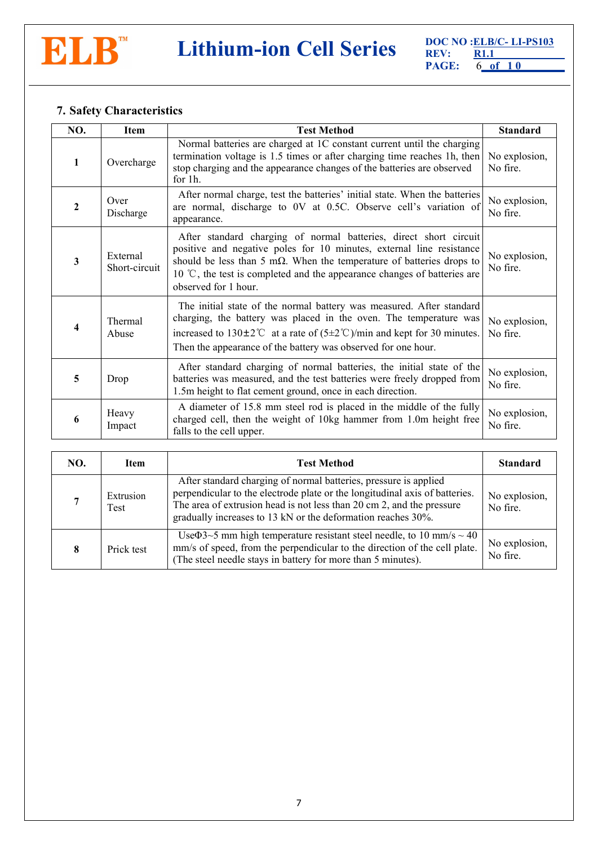

# **7. Safety Characteristics**

| NO.          | <b>Item</b>                                                                                                                                                                                                            | <b>Test Method</b>                                                                                                                                                                                                                                                                                                                      | <b>Standard</b>           |
|--------------|------------------------------------------------------------------------------------------------------------------------------------------------------------------------------------------------------------------------|-----------------------------------------------------------------------------------------------------------------------------------------------------------------------------------------------------------------------------------------------------------------------------------------------------------------------------------------|---------------------------|
| 1            | Overcharge                                                                                                                                                                                                             | Normal batteries are charged at 1C constant current until the charging<br>termination voltage is 1.5 times or after charging time reaches 1h, then<br>stop charging and the appearance changes of the batteries are observed<br>for 1h.                                                                                                 | No explosion,<br>No fire. |
| $\mathbf{2}$ | Over<br>Discharge                                                                                                                                                                                                      | After normal charge, test the batteries' initial state. When the batteries<br>are normal, discharge to 0V at 0.5C. Observe cell's variation of<br>appearance.                                                                                                                                                                           | No explosion,<br>No fire. |
| 3            | External<br>Short-circuit                                                                                                                                                                                              | After standard charging of normal batteries, direct short circuit<br>positive and negative poles for 10 minutes, external line resistance<br>should be less than 5 m $\Omega$ . When the temperature of batteries drops to<br>10 $\degree$ C, the test is completed and the appearance changes of batteries are<br>observed for 1 hour. | No explosion,<br>No fire. |
| 4            | Thermal<br>Abuse                                                                                                                                                                                                       | The initial state of the normal battery was measured. After standard<br>charging, the battery was placed in the oven. The temperature was<br>increased to $130\pm2\degree$ at a rate of $(5\pm2\degree$ C)/min and kept for 30 minutes.<br>Then the appearance of the battery was observed for one hour.                                | No explosion,<br>No fire. |
| 5            | After standard charging of normal batteries, the initial state of the<br>batteries was measured, and the test batteries were freely dropped from<br>Drop<br>1.5m height to flat cement ground, once in each direction. |                                                                                                                                                                                                                                                                                                                                         | No explosion,<br>No fire. |
| 6            | Heavy<br>Impact                                                                                                                                                                                                        | A diameter of 15.8 mm steel rod is placed in the middle of the fully<br>charged cell, then the weight of 10kg hammer from 1.0m height free<br>falls to the cell upper.                                                                                                                                                                  | No explosion,<br>No fire. |

<span id="page-5-0"></span>

| NO. | Test Method<br><b>Item</b> |                                                                                                                                                                                                                                                                                          | <b>Standard</b>           |
|-----|----------------------------|------------------------------------------------------------------------------------------------------------------------------------------------------------------------------------------------------------------------------------------------------------------------------------------|---------------------------|
|     | Extrusion<br>Test          | After standard charging of normal batteries, pressure is applied<br>perpendicular to the electrode plate or the longitudinal axis of batteries.<br>The area of extrusion head is not less than 20 cm 2, and the pressure<br>gradually increases to 13 kN or the deformation reaches 30%. | No explosion,<br>No fire. |
|     | Prick test                 | Use $\Phi$ 3~5 mm high temperature resistant steel needle, to 10 mm/s ~ 40<br>mm/s of speed, from the perpendicular to the direction of the cell plate.<br>(The steel needle stays in battery for more than 5 minutes).                                                                  | No explosion,<br>No fire. |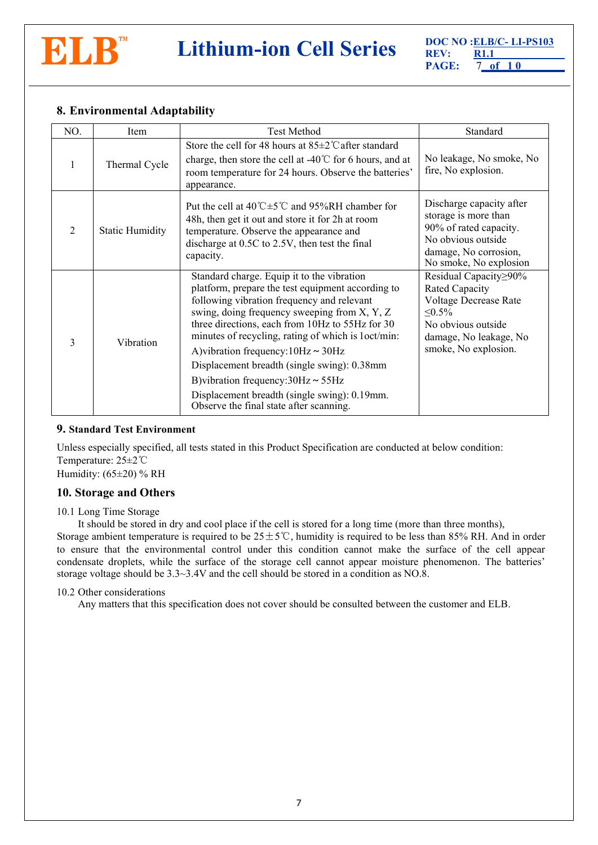

# **8. Environmental Adaptability**

| NO.            | Item                   | <b>Test Method</b>                                                                                                                                                                                                                                                                                                                                                                                                                                                                                                                       | Standard                                                                                                                                                 |
|----------------|------------------------|------------------------------------------------------------------------------------------------------------------------------------------------------------------------------------------------------------------------------------------------------------------------------------------------------------------------------------------------------------------------------------------------------------------------------------------------------------------------------------------------------------------------------------------|----------------------------------------------------------------------------------------------------------------------------------------------------------|
|                | Thermal Cycle          | Store the cell for 48 hours at $85\pm2$ °C after standard<br>charge, then store the cell at -40 $\degree$ C for 6 hours, and at<br>room temperature for 24 hours. Observe the batteries'<br>appearance.                                                                                                                                                                                                                                                                                                                                  | No leakage, No smoke, No<br>fire, No explosion.                                                                                                          |
| $\overline{2}$ | <b>Static Humidity</b> | Put the cell at $40^{\circ}$ C $\pm$ 5 <sup>°</sup> C and 95%RH chamber for<br>48h, then get it out and store it for 2h at room<br>temperature. Observe the appearance and<br>discharge at 0.5C to 2.5V, then test the final<br>capacity.                                                                                                                                                                                                                                                                                                | Discharge capacity after<br>storage is more than<br>90% of rated capacity.<br>No obvious outside<br>damage, No corrosion,<br>No smoke, No explosion      |
| 3              | Vibration              | Standard charge. Equip it to the vibration<br>platform, prepare the test equipment according to<br>following vibration frequency and relevant<br>swing, doing frequency sweeping from X, Y, Z<br>three directions, each from 10Hz to 55Hz for 30<br>minutes of recycling, rating of which is loct/min:<br>A) vibration frequency: $10Hz \sim 30Hz$<br>Displacement breadth (single swing): 0.38mm<br>B) vibration frequency: $30Hz \sim 55Hz$<br>Displacement breadth (single swing): 0.19mm.<br>Observe the final state after scanning. | Residual Capacity≥90%<br>Rated Capacity<br>Voltage Decrease Rate<br>$\leq 0.5\%$<br>No obvious outside<br>damage, No leakage, No<br>smoke, No explosion. |

#### <span id="page-6-0"></span>**9. Standard Test Environment**

Unless especially specified, all tests stated in this Product Specification are conducted at below condition: Temperature: 25±2℃ Humidity:  $(65\pm20)$  % RH

## <span id="page-6-1"></span>**10. Storage and Others**

#### 10.1 Long Time Storage

It should be stored in dry and cool place if the cell is stored for a long time (more than three months),

Storage ambient temperature is required to be  $25±5^{\circ}$ C, humidity is required to be less than 85% RH. And in order to ensure that the environmental control under this condition cannot make the surface of the cell appear condensate droplets, while the surface of the storage cell cannot appear moisture phenomenon. The batteries' storage voltage should be 3.3~3.4V and the cell should be stored in a condition as NO.8.

#### 10.2 Other considerations

Any matters that this specification doesnot cover should be consulted between the customer and ELB.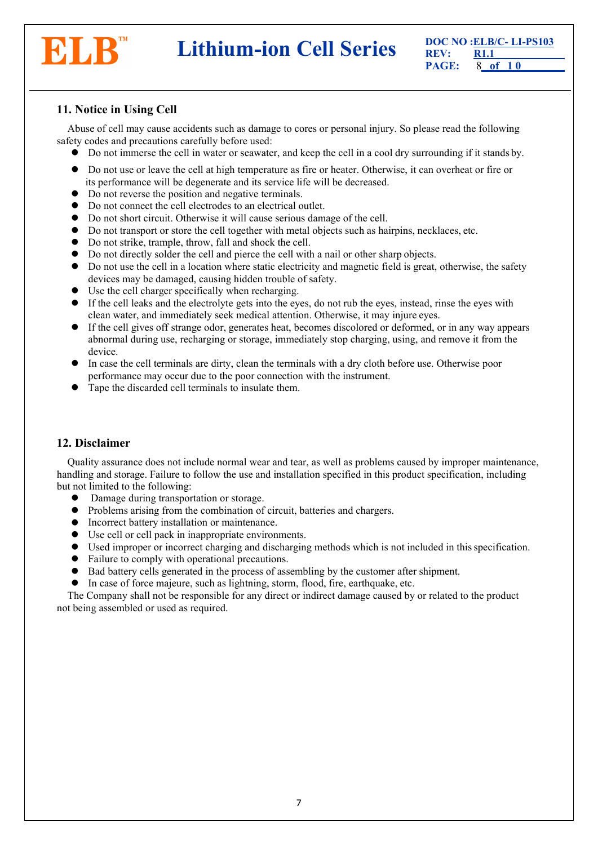

**DOC NO :ELB/C- LI-PS103**<br>**PAGE: REV: REV: RI.1**<br>**PAGE: 8** of 10

# <span id="page-7-0"></span>**11. Notice in Using Cell**

Abuse of cell may cause accidents such as damage to cores or personal injury. So please read the following safety codes and precautions carefully before used:

- Do not immerse the cell in water or seawater, and keep the cell in a cool dry surrounding if it stands by.
- <span id="page-7-2"></span>• Do not use or leave the cell at high temperature as fire or heater. Otherwise, it can overheat or fire or its performance will be degenerate and its service life will be decreased.
- Do not reverse the position and negative terminals.
- Do not connect the cell electrodes to an electrical outlet.
- Do not short circuit. Otherwise it will cause serious damage of the cell.
- Do not transport or store the cell together with metal objects such as hairpins, necklaces, etc.
- Do not strike, trample, throw, fall and shock the cell.
- Do not directly solder the cell and pierce the cellwith a nail or other sharp objects.
- Do not use the cell in a location where static electricity and magnetic field is great, otherwise, the safety devices may be damaged, causing hidden trouble of safety.
- $\bullet$  Use the cell charger specifically when recharging.
- If the cell leaks and the electrolyte gets into the eyes, do not rub the eyes, instead, rinse the eyes with clean water, and immediately seek medical attention. Otherwise, it may injure eyes.
- If the cell gives off strange odor, generates heat, becomes discolored or deformed, or in any way appears abnormal during use, recharging or storage, immediately stop charging, using, and remove it from the device.
- In case the cell terminals are dirty, clean the terminals with a dry cloth before use. Otherwise poor performance may occur due to the poor connection with the instrument.
- Tape the discarded cell terminals to insulate them.

## <span id="page-7-1"></span>**12. Disclaimer**

Quality assurance does not include normal wear and tear, as well as problems caused by improper maintenance, handling and storage. Failure to follow the use and installation specified in this product specification, including but not limited to the following:

- Damage during transportation or storage.
- Problems arising from the combination of circuit, batteries and chargers.
- Incorrect battery installation or maintenance.
- Use cell or cell pack in inappropriate environments.
- Used improper or incorrect charging and discharging methods which is not included in thisspecification.
- Failure to comply with operational precautions.
- $\bullet$  Bad battery cells generated in the process of assembling by the customer after shipment.
- $\bullet$  In case of force majeure, such as lightning, storm, flood, fire, earthquake, etc.

The Company shall not be responsible for any direct or indirect damage caused by or related to the product not being assembled or used as required.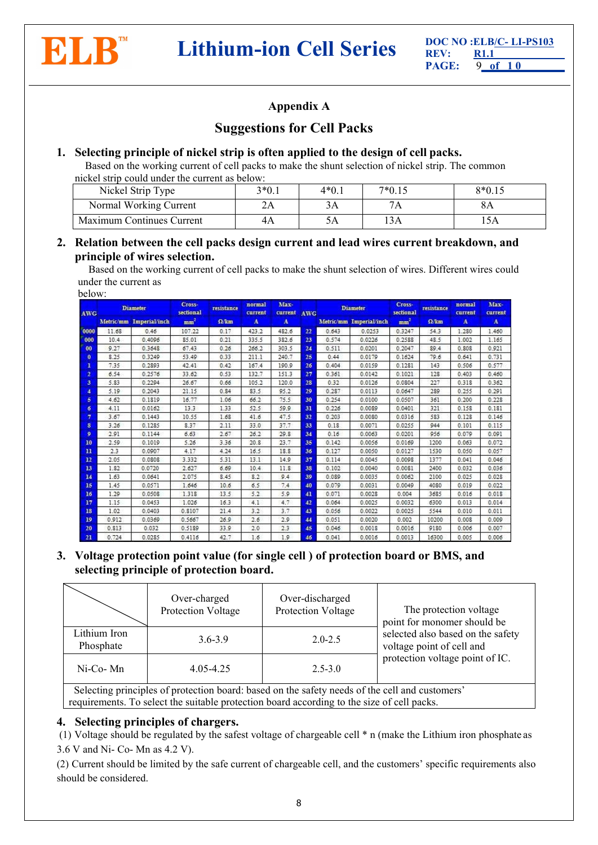

# **Appendix A**

# **Suggestions for Cell Packs**

## **1. Selecting principle of nickel strip is often applied tothe design of cell packs.**

Based on the working current of cell packs to make the shunt selection of nickel strip. The common nickel strip could under the current as below:

| Nickel Strip Type         | $3*0.1$ | $4*0.1$ | $7*0.15$ | $8*0.15$   |
|---------------------------|---------|---------|----------|------------|
| Normal Working Current    |         | د ر     | /A       | $\delta A$ |
| Maximum Continues Current | 4А      | ЭA      | 13A      | $-111$     |

## **2. Relation between the cell packs design current and lead wires current breakdown, and principle of wires selection.**

Based on the working current of cell packs to make the shunt selection of wires. Different wires could under the current as

| below: |  |
|--------|--|
|--------|--|

| <b>AWG</b>              | <b>Diameter</b> |                         | Cross-<br>sectional | resistance   | Max-<br>normal<br>current<br>current |              | <b>AWG</b> | <b>Diameter</b> |                         | Cross-<br>sectional | resistance   | normal<br>current | Max-<br>current |
|-------------------------|-----------------|-------------------------|---------------------|--------------|--------------------------------------|--------------|------------|-----------------|-------------------------|---------------------|--------------|-------------------|-----------------|
|                         |                 | Metric/mm Imperial/inch | mm <sup>2</sup>     | $\Omega$ /km | $\mathbf{A}$                         | $\mathbf{A}$ |            |                 | Metric/mm Imperial/inch | mm <sup>2</sup>     | $\Omega$ /km | A                 | $\mathbf{A}$    |
| 0000                    | 11.68           | 0.46                    | 107.22              | 0.17         | 423.2                                | 482.6        | 22         | 0.643           | 0.0253                  | 0.3247              | 54.3         | 1.280             | 1.460           |
| 000                     | 10.4            | 0.4096                  | 85.01               | 0.21         | 335.5                                | 382.6        | 23         | 0.574           | 0.0226                  | 0.2588              | 48.5         | 1.002             | 1.165           |
| 00                      | 9.27            | 0.3648                  | 67.43               | 0.26         | 266.2                                | 303.5        | 24         | 0.511           | 0.0201                  | 0.2047              | 89.4         | 0.808             | 0.921           |
| $\mathbf{0}$            | 8.25            | 0.3249                  | 53.49               | 0.33         | 211.1                                | 240.7        | 25         | 0.44            | 0.0179                  | 0.1624              | 79.6         | 0.641             | 0.731           |
| 1                       | 7.35            | 0.2893                  | 42.41               | 0.42         | 167.4                                | 190.9        | 26         | 0.404           | 0.0159                  | 0.1281              | 143          | 0.506             | 0.577           |
| $\overline{2}$          | 6.54            | 0.2576                  | 33.62               | 0.53         | 132.7                                | 151.3        | 27         | 0.361           | 0.0142                  | 0.1021              | 128          | 0.403             | 0.460           |
| $\overline{\mathbf{3}}$ | 5.83            | 0.2294                  | 26.67               | 0.66         | 105.2                                | 120.0        | 28         | 0.32            | 0.0126                  | 0.0804              | 227          | 0.318             | 0.362           |
| $\overline{4}$          | 5.19            | 0.2043                  | 21.15               | 0.84         | 83.5                                 | 95.2         | 29         | 0.287           | 0.0113                  | 0.0647              | 289          | 0.255             | 0.291           |
| 5                       | 4.62            | 0.1819                  | 16.77               | 1.06         | 66.2                                 | 75.5         | 30         | 0.254           | 0.0100                  | 0.0507              | 361          | 0.200             | 0.228           |
| б                       | 4.11            | 0.0162                  | 13.3                | 1.33         | 52.5                                 | 59.9         | 31         | 0.226           | 0.0089                  | 0.0401              | 321          | 0.158             | 0.181           |
| 7                       | 3.67            | 0.1443                  | 10.55               | 1.68         | 41.6                                 | 47.5         | 32         | 0.203           | 0.0080                  | 0.0316              | 583          | 0.128             | 0.146           |
| 8                       | 3.26            | 0.1285                  | 8.37                | 2.11         | 33.0                                 | 37.7         | 33         | 0.18            | 0.0071                  | 0.0255              | 944          | 0.101             | 0.115           |
| $\mathbf{o}$            | 2.91            | 0.1144                  | 6.63                | 2.67         | 26.2                                 | 29.8         | 34         | 0.16            | 0.0063                  | 0.0201              | 956          | 0.079             | 0.091           |
| 10                      | 2.59            | 0.1019                  | 5.26                | 3.36         | 20.8                                 | 23.7         | 35         | 0.142           | 0.0056                  | 0.0169              | 1200         | 0.063             | 0.072           |
| $\mathbf{u}$            | 2.3             | 0.0907                  | 4.17                | 4.24         | 16.5                                 | 18.8         | 36         | 0.127           | 0.0050                  | 0.0127              | 1530         | 0.050             | 0.057           |
| 12                      | 2.05            | 0.0808                  | 3.332               | 5.31         | 13.1                                 | 14.9         | 37         | 0.114           | 0.0045                  | 0.0098              | 1377         | 0.041             | 0.046           |
| <b>13</b>               | 1.82            | 0.0720                  | 2.627               | 6.69         | 10.4                                 | 11.8         | 38         | 0.102           | 0.0040                  | 0.0081              | 2400         | 0.032             | 0.036           |
| 14                      | 1.63            | 0.0641                  | 2.075               | 8.45         | 8.2                                  | 9.4          | 39         | 0.089           | 0.0035                  | 0.0062              | 2100         | 0.025             | 0.028           |
| 15                      | 1.45            | 0.0571                  | 1.646               | 10.6         | 6.5                                  | 7.4          | 40         | 0.079           | 0.0031                  | 0.0049              | 4080         | 0.019             | 0.022           |
| <b>16</b>               | 1.29            | 0.0508                  | 1.318               | 13.5         | 5.2                                  | 5.9          | 41         | 0.071           | 0.0028                  | 0.004               | 3685         | 0.016             | 0.018           |
| 17                      | 1.15            | 0.0453                  | 1.026               | 16.3         | 4.1                                  | 4.7          | 42         | 0.064           | 0.0025                  | 0.0032              | 6300         | 0.013             | 0.014           |
| 18                      | 1.02            | 0.0403                  | 0.8107              | 21.4         | 3.2                                  | 3.7          | 43         | 0.056           | 0.0022                  | 0.0025              | 5544         | 0.010             | 0.011           |
| 19                      | 0.912           | 0.0369                  | 0.5667              | 26.9         | 2.6                                  | 2.9          | 44         | 0.051           | 0.0020                  | 0.002               | 10200        | 0.008             | 0.009           |
| 20                      | 0.813           | 0.032                   | 0.5189              | 33.9         | 2.0                                  | 2.3          | 45         | 0.046           | 0.0018                  | 0.0016              | 9180         | 0.006             | 0.007           |
| 21                      | 0.724           | 0.0285                  | 0.4116              | 42.7         | 1.6                                  | 1.9          | 46         | 0.041           | 0.0016                  | 0.0013              | 16300        | 0.005             | 0.006           |

**3. Voltage protection point value (for single cell ) of protection board or BMS, and selecting principle of protection board.**

|                           | Over-charged<br>Protection Voltage                                                             | Over-discharged<br>Protection Voltage | The protection voltage<br>point for monomer should be          |  |
|---------------------------|------------------------------------------------------------------------------------------------|---------------------------------------|----------------------------------------------------------------|--|
| Lithium Iron<br>Phosphate | $3.6 - 3.9$                                                                                    | $2.0 - 2.5$                           | selected also based on the safety<br>voltage point of cell and |  |
| Ni-Co-Mn                  | $4.05 - 4.25$                                                                                  | $2.5 - 3.0$                           | protection voltage point of IC.                                |  |
|                           | Selecting principles of protection board; based on the safety needs of the cell and customers' |                                       |                                                                |  |

Selecting principles of produced by requirements. To select the suitable protection board according to the size of cell packs.

## **4. Selecting** principles of chargers.

(1) Voltage should be regulated by the safest voltage of chargeable cell \* n (make the Lithium iron phosphate as 3.6 V and Ni- Co- Mn as 4.2 V).

(2) Current should be limited by the safe current of chargeable cell, and the customers' specific requirements also should be considered.